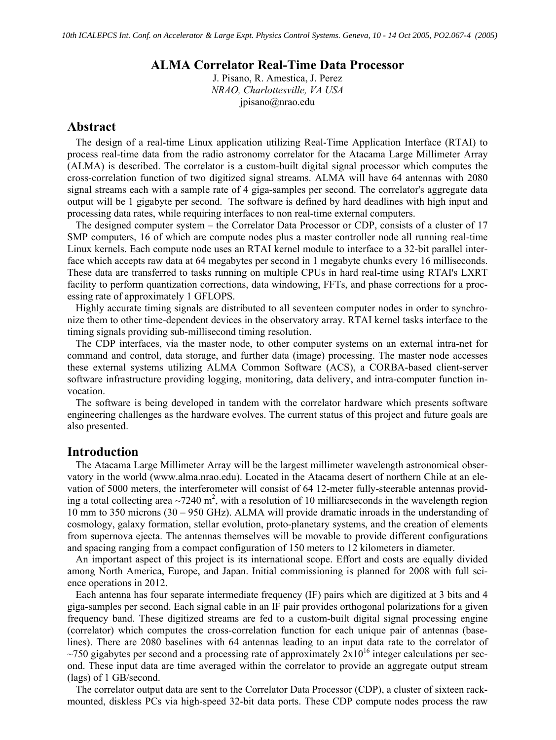## **ALMA Correlator Real-Time Data Processor**

J. Pisano, R. Amestica, J. Perez *NRAO, Charlottesville, VA USA*  jpisano@nrao.edu

# **Abstract**

The design of a real-time Linux application utilizing Real-Time Application Interface (RTAI) to process real-time data from the radio astronomy correlator for the Atacama Large Millimeter Array (ALMA) is described. The correlator is a custom-built digital signal processor which computes the cross-correlation function of two digitized signal streams. ALMA will have 64 antennas with 2080 signal streams each with a sample rate of 4 giga-samples per second. The correlator's aggregate data output will be 1 gigabyte per second. The software is defined by hard deadlines with high input and processing data rates, while requiring interfaces to non real-time external computers.

The designed computer system – the Correlator Data Processor or CDP, consists of a cluster of 17 SMP computers, 16 of which are compute nodes plus a master controller node all running real-time Linux kernels. Each compute node uses an RTAI kernel module to interface to a 32-bit parallel interface which accepts raw data at 64 megabytes per second in 1 megabyte chunks every 16 milliseconds. These data are transferred to tasks running on multiple CPUs in hard real-time using RTAI's LXRT facility to perform quantization corrections, data windowing, FFTs, and phase corrections for a processing rate of approximately 1 GFLOPS.

Highly accurate timing signals are distributed to all seventeen computer nodes in order to synchronize them to other time-dependent devices in the observatory array. RTAI kernel tasks interface to the timing signals providing sub-millisecond timing resolution.

The CDP interfaces, via the master node, to other computer systems on an external intra-net for command and control, data storage, and further data (image) processing. The master node accesses these external systems utilizing ALMA Common Software (ACS), a CORBA-based client-server software infrastructure providing logging, monitoring, data delivery, and intra-computer function invocation.

The software is being developed in tandem with the correlator hardware which presents software engineering challenges as the hardware evolves. The current status of this project and future goals are also presented.

## **Introduction**

The Atacama Large Millimeter Array will be the largest millimeter wavelength astronomical observatory in the world (www.alma.nrao.edu). Located in the Atacama desert of northern Chile at an elevation of 5000 meters, the interferometer will consist of 64 12-meter fully-steerable antennas providing a total collecting area  $\sim$ 7240 m<sup>2</sup>, with a resolution of 10 milliarcseconds in the wavelength region 10 mm to 350 microns (30 – 950 GHz). ALMA will provide dramatic inroads in the understanding of cosmology, galaxy formation, stellar evolution, proto-planetary systems, and the creation of elements from supernova ejecta. The antennas themselves will be movable to provide different configurations and spacing ranging from a compact configuration of 150 meters to 12 kilometers in diameter.

An important aspect of this project is its international scope. Effort and costs are equally divided among North America, Europe, and Japan. Initial commissioning is planned for 2008 with full science operations in 2012.

Each antenna has four separate intermediate frequency (IF) pairs which are digitized at 3 bits and 4 giga-samples per second. Each signal cable in an IF pair provides orthogonal polarizations for a given frequency band. These digitized streams are fed to a custom-built digital signal processing engine (correlator) which computes the cross-correlation function for each unique pair of antennas (baselines). There are 2080 baselines with 64 antennas leading to an input data rate to the correlator of  $\sim$ 750 gigabytes per second and a processing rate of approximately  $2x10^{16}$  integer calculations per second. These input data are time averaged within the correlator to provide an aggregate output stream (lags) of 1 GB/second.

The correlator output data are sent to the Correlator Data Processor (CDP), a cluster of sixteen rackmounted, diskless PCs via high-speed 32-bit data ports. These CDP compute nodes process the raw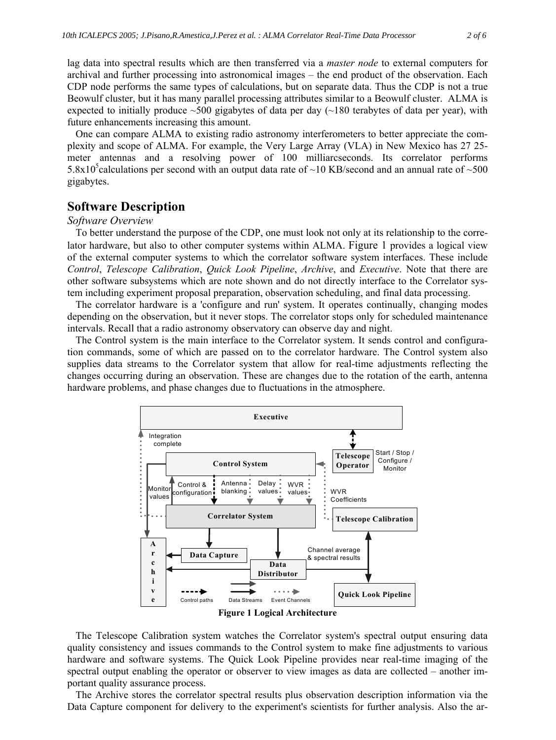lag data into spectral results which are then transferred via a *master node* to external computers for archival and further processing into astronomical images – the end product of the observation. Each CDP node performs the same types of calculations, but on separate data. Thus the CDP is not a true Beowulf cluster, but it has many parallel processing attributes similar to a Beowulf cluster. ALMA is expected to initially produce  $\sim$ 500 gigabytes of data per day ( $\sim$ 180 terabytes of data per year), with future enhancements increasing this amount.

One can compare ALMA to existing radio astronomy interferometers to better appreciate the complexity and scope of ALMA. For example, the Very Large Array (VLA) in New Mexico has 27 25 meter antennas and a resolving power of 100 milliarcseconds. Its correlator performs 5.8x10<sup>5</sup> calculations per second with an output data rate of  $\sim$ 10 KB/second and an annual rate of  $\sim$ 500 gigabytes.

# **Software Description**

### *Software Overview*

To better understand the purpose of the CDP, one must look not only at its relationship to the correlator hardware, but also to other computer systems within ALMA. Figure 1 provides a logical view of the external computer systems to which the correlator software system interfaces. These include *Control*, *Telescope Calibration*, *Quick Look Pipeline*, *Archive*, and *Executive*. Note that there are other software subsystems which are note shown and do not directly interface to the Correlator system including experiment proposal preparation, observation scheduling, and final data processing.

The correlator hardware is a 'configure and run' system. It operates continually, changing modes depending on the observation, but it never stops. The correlator stops only for scheduled maintenance intervals. Recall that a radio astronomy observatory can observe day and night.

The Control system is the main interface to the Correlator system. It sends control and configuration commands, some of which are passed on to the correlator hardware. The Control system also supplies data streams to the Correlator system that allow for real-time adjustments reflecting the changes occurring during an observation. These are changes due to the rotation of the earth, antenna hardware problems, and phase changes due to fluctuations in the atmosphere.



The Telescope Calibration system watches the Correlator system's spectral output ensuring data quality consistency and issues commands to the Control system to make fine adjustments to various hardware and software systems. The Quick Look Pipeline provides near real-time imaging of the spectral output enabling the operator or observer to view images as data are collected – another important quality assurance process.

The Archive stores the correlator spectral results plus observation description information via the Data Capture component for delivery to the experiment's scientists for further analysis. Also the ar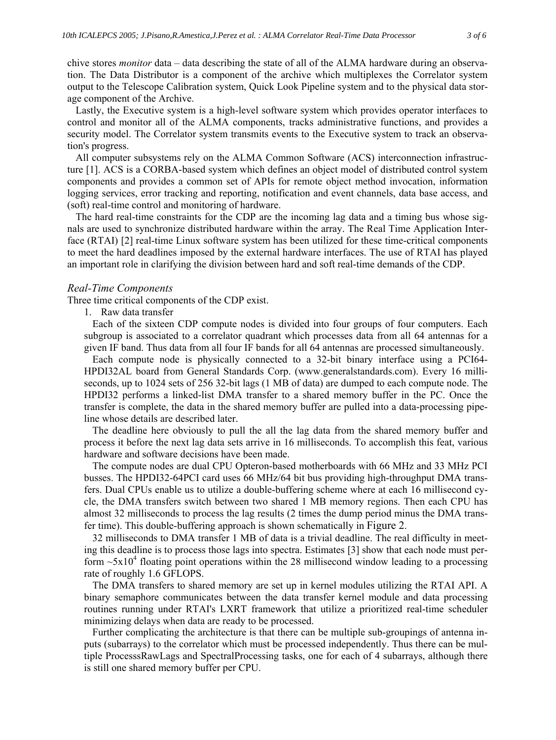chive stores *monitor* data – data describing the state of all of the ALMA hardware during an observation. The Data Distributor is a component of the archive which multiplexes the Correlator system output to the Telescope Calibration system, Quick Look Pipeline system and to the physical data storage component of the Archive.

Lastly, the Executive system is a high-level software system which provides operator interfaces to control and monitor all of the ALMA components, tracks administrative functions, and provides a security model. The Correlator system transmits events to the Executive system to track an observation's progress.

All computer subsystems rely on the ALMA Common Software (ACS) interconnection infrastructure [1]. ACS is a CORBA-based system which defines an object model of distributed control system components and provides a common set of APIs for remote object method invocation, information logging services, error tracking and reporting, notification and event channels, data base access, and (soft) real-time control and monitoring of hardware.

The hard real-time constraints for the CDP are the incoming lag data and a timing bus whose signals are used to synchronize distributed hardware within the array. The Real Time Application Interface (RTAI) [2] real-time Linux software system has been utilized for these time-critical components to meet the hard deadlines imposed by the external hardware interfaces. The use of RTAI has played an important role in clarifying the division between hard and soft real-time demands of the CDP.

#### *Real-Time Components*

Three time critical components of the CDP exist.

1. Raw data transfer

Each of the sixteen CDP compute nodes is divided into four groups of four computers. Each subgroup is associated to a correlator quadrant which processes data from all 64 antennas for a given IF band. Thus data from all four IF bands for all 64 antennas are processed simultaneously.

Each compute node is physically connected to a 32-bit binary interface using a PCI64- HPDI32AL board from General Standards Corp. (www.generalstandards.com). Every 16 milliseconds, up to 1024 sets of 256 32-bit lags (1 MB of data) are dumped to each compute node. The HPDI32 performs a linked-list DMA transfer to a shared memory buffer in the PC. Once the transfer is complete, the data in the shared memory buffer are pulled into a data-processing pipeline whose details are described later.

The deadline here obviously to pull the all the lag data from the shared memory buffer and process it before the next lag data sets arrive in 16 milliseconds. To accomplish this feat, various hardware and software decisions have been made.

The compute nodes are dual CPU Opteron-based motherboards with 66 MHz and 33 MHz PCI busses. The HPDI32-64PCI card uses 66 MHz/64 bit bus providing high-throughput DMA transfers. Dual CPUs enable us to utilize a double-buffering scheme where at each 16 millisecond cycle, the DMA transfers switch between two shared 1 MB memory regions. Then each CPU has almost 32 milliseconds to process the lag results (2 times the dump period minus the DMA transfer time). This double-buffering approach is shown schematically in Figure 2.

32 milliseconds to DMA transfer 1 MB of data is a trivial deadline. The real difficulty in meeting this deadline is to process those lags into spectra. Estimates [3] show that each node must perform  $\sim$ 5x10<sup>4</sup> floating point operations within the 28 millisecond window leading to a processing rate of roughly 1.6 GFLOPS.

The DMA transfers to shared memory are set up in kernel modules utilizing the RTAI API. A binary semaphore communicates between the data transfer kernel module and data processing routines running under RTAI's LXRT framework that utilize a prioritized real-time scheduler minimizing delays when data are ready to be processed.

Further complicating the architecture is that there can be multiple sub-groupings of antenna inputs (subarrays) to the correlator which must be processed independently. Thus there can be multiple ProcesssRawLags and SpectralProcessing tasks, one for each of 4 subarrays, although there is still one shared memory buffer per CPU.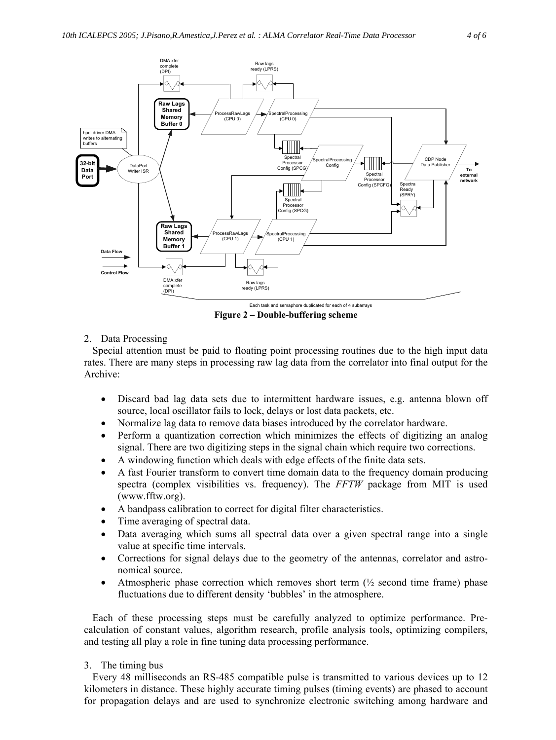

**Figure 2 – Double-buffering scheme** 

### 2. Data Processing

Special attention must be paid to floating point processing routines due to the high input data rates. There are many steps in processing raw lag data from the correlator into final output for the Archive:

- ' Discard bad lag data sets due to intermittent hardware issues, e.g. antenna blown off source, local oscillator fails to lock, delays or lost data packets, etc.
- ' Normalize lag data to remove data biases introduced by the correlator hardware.
- ' Perform a quantization correction which minimizes the effects of digitizing an analog signal. There are two digitizing steps in the signal chain which require two corrections.
- ' A windowing function which deals with edge effects of the finite data sets.
- ' A fast Fourier transform to convert time domain data to the frequency domain producing spectra (complex visibilities vs. frequency). The *FFTW* package from MIT is used (www.fftw.org).
- ' A bandpass calibration to correct for digital filter characteristics.
- Time averaging of spectral data.
- Data averaging which sums all spectral data over a given spectral range into a single value at specific time intervals.
- ' Corrections for signal delays due to the geometry of the antennas, correlator and astronomical source.
- Atmospheric phase correction which removes short term  $\binom{1}{2}$  second time frame) phase fluctuations due to different density 'bubbles' in the atmosphere.

Each of these processing steps must be carefully analyzed to optimize performance. Precalculation of constant values, algorithm research, profile analysis tools, optimizing compilers, and testing all play a role in fine tuning data processing performance.

#### 3. The timing bus

Every 48 milliseconds an RS-485 compatible pulse is transmitted to various devices up to 12 kilometers in distance. These highly accurate timing pulses (timing events) are phased to account for propagation delays and are used to synchronize electronic switching among hardware and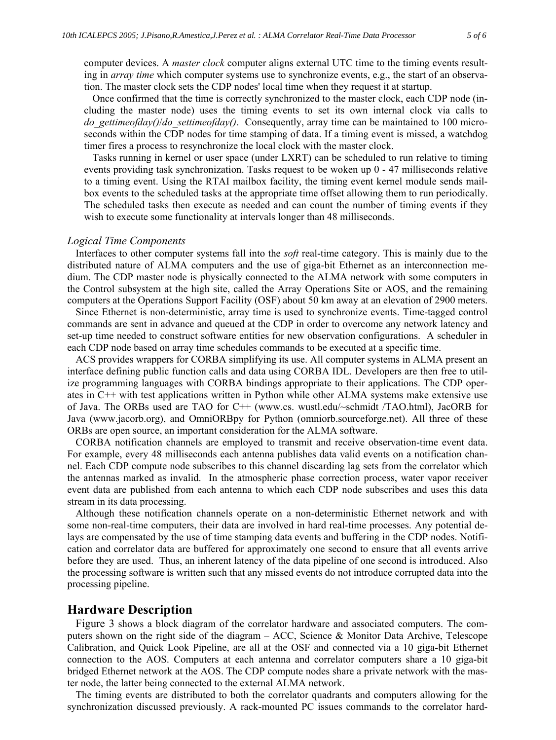computer devices. A *master clock* computer aligns external UTC time to the timing events resulting in *array time* which computer systems use to synchronize events, e.g., the start of an observation. The master clock sets the CDP nodes' local time when they request it at startup.

Once confirmed that the time is correctly synchronized to the master clock, each CDP node (including the master node) uses the timing events to set its own internal clock via calls to *do\_gettimeofday()*/*do\_settimeofday()*. Consequently, array time can be maintained to 100 microseconds within the CDP nodes for time stamping of data. If a timing event is missed, a watchdog timer fires a process to resynchronize the local clock with the master clock.

Tasks running in kernel or user space (under LXRT) can be scheduled to run relative to timing events providing task synchronization. Tasks request to be woken up 0 - 47 milliseconds relative to a timing event. Using the RTAI mailbox facility, the timing event kernel module sends mailbox events to the scheduled tasks at the appropriate time offset allowing them to run periodically. The scheduled tasks then execute as needed and can count the number of timing events if they wish to execute some functionality at intervals longer than 48 milliseconds.

#### *Logical Time Components*

Interfaces to other computer systems fall into the *soft* real-time category. This is mainly due to the distributed nature of ALMA computers and the use of giga-bit Ethernet as an interconnection medium. The CDP master node is physically connected to the ALMA network with some computers in the Control subsystem at the high site, called the Array Operations Site or AOS, and the remaining computers at the Operations Support Facility (OSF) about 50 km away at an elevation of 2900 meters.

Since Ethernet is non-deterministic, array time is used to synchronize events. Time-tagged control commands are sent in advance and queued at the CDP in order to overcome any network latency and set-up time needed to construct software entities for new observation configurations. A scheduler in each CDP node based on array time schedules commands to be executed at a specific time.

ACS provides wrappers for CORBA simplifying its use. All computer systems in ALMA present an interface defining public function calls and data using CORBA IDL. Developers are then free to utilize programming languages with CORBA bindings appropriate to their applications. The CDP operates in C++ with test applications written in Python while other ALMA systems make extensive use of Java. The ORBs used are TAO for C++ (www.cs. wustl.edu/~schmidt /TAO.html), JacORB for Java (www.jacorb.org), and OmniORBpy for Python (omniorb.sourceforge.net). All three of these ORBs are open source, an important consideration for the ALMA software.

CORBA notification channels are employed to transmit and receive observation-time event data. For example, every 48 milliseconds each antenna publishes data valid events on a notification channel. Each CDP compute node subscribes to this channel discarding lag sets from the correlator which the antennas marked as invalid. In the atmospheric phase correction process, water vapor receiver event data are published from each antenna to which each CDP node subscribes and uses this data stream in its data processing.

Although these notification channels operate on a non-deterministic Ethernet network and with some non-real-time computers, their data are involved in hard real-time processes. Any potential delays are compensated by the use of time stamping data events and buffering in the CDP nodes. Notification and correlator data are buffered for approximately one second to ensure that all events arrive before they are used. Thus, an inherent latency of the data pipeline of one second is introduced. Also the processing software is written such that any missed events do not introduce corrupted data into the processing pipeline.

### **Hardware Description**

Figure 3 shows a block diagram of the correlator hardware and associated computers. The computers shown on the right side of the diagram – ACC, Science & Monitor Data Archive, Telescope Calibration, and Quick Look Pipeline, are all at the OSF and connected via a 10 giga-bit Ethernet connection to the AOS. Computers at each antenna and correlator computers share a 10 giga-bit bridged Ethernet network at the AOS. The CDP compute nodes share a private network with the master node, the latter being connected to the external ALMA network.

The timing events are distributed to both the correlator quadrants and computers allowing for the synchronization discussed previously. A rack-mounted PC issues commands to the correlator hard